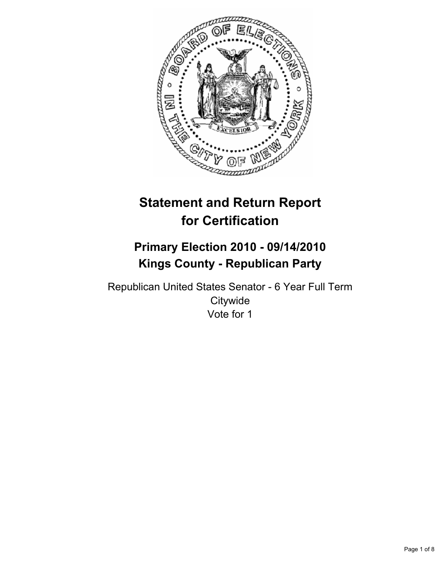

# **Statement and Return Report for Certification**

# **Primary Election 2010 - 09/14/2010 Kings County - Republican Party**

Republican United States Senator - 6 Year Full Term **Citywide** Vote for 1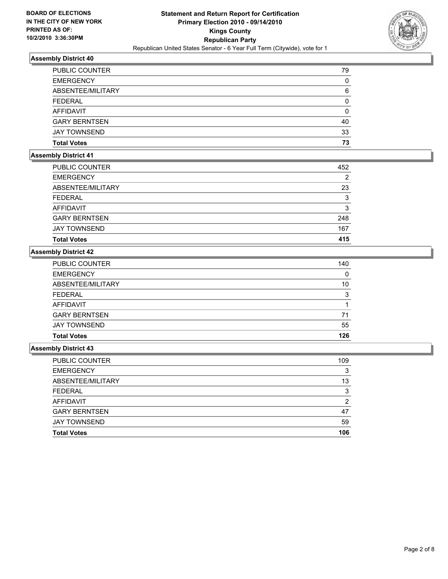

| <b>EMERGENCY</b>     | 0  |
|----------------------|----|
| ABSENTEE/MILITARY    | 6  |
| <b>FEDERAL</b>       | 0  |
| AFFIDAVIT            | 0  |
| <b>GARY BERNTSEN</b> | 40 |
| <b>JAY TOWNSEND</b>  | 33 |
| <b>Total Votes</b>   | 73 |

# **Assembly District 41**

| PUBLIC COUNTER       | 452 |
|----------------------|-----|
| <b>EMERGENCY</b>     | 2   |
| ABSENTEE/MILITARY    | 23  |
| <b>FEDERAL</b>       | 3   |
| AFFIDAVIT            | 3   |
| <b>GARY BERNTSEN</b> | 248 |
| <b>JAY TOWNSEND</b>  | 167 |
| <b>Total Votes</b>   | 415 |

## **Assembly District 42**

| <b>Total Votes</b>    | 126 |
|-----------------------|-----|
| <b>JAY TOWNSEND</b>   | 55  |
| <b>GARY BERNTSEN</b>  | 71  |
| AFFIDAVIT             |     |
| <b>FEDERAL</b>        | 3   |
| ABSENTEE/MILITARY     | 10  |
| <b>EMERGENCY</b>      | 0   |
| <b>PUBLIC COUNTER</b> | 140 |

| <b>Total Votes</b>   | 106 |
|----------------------|-----|
| <b>JAY TOWNSEND</b>  | 59  |
| <b>GARY BERNTSEN</b> | 47  |
| AFFIDAVIT            | 2   |
| <b>FEDERAL</b>       | 3   |
| ABSENTEE/MILITARY    | 13  |
| <b>EMERGENCY</b>     | 3   |
| PUBLIC COUNTER       | 109 |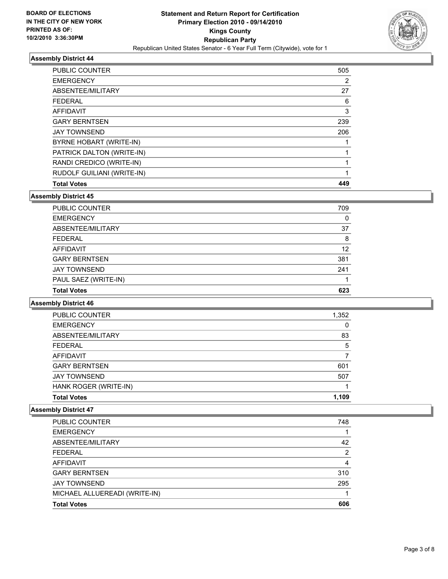

| <b>PUBLIC COUNTER</b>      | 505 |
|----------------------------|-----|
| <b>EMERGENCY</b>           | 2   |
| ABSENTEE/MILITARY          | 27  |
| <b>FEDERAL</b>             | 6   |
| <b>AFFIDAVIT</b>           | 3   |
| <b>GARY BERNTSEN</b>       | 239 |
| <b>JAY TOWNSEND</b>        | 206 |
| BYRNE HOBART (WRITE-IN)    |     |
| PATRICK DALTON (WRITE-IN)  |     |
| RANDI CREDICO (WRITE-IN)   |     |
| RUDOLF GUILIANI (WRITE-IN) | 1   |
| <b>Total Votes</b>         | 449 |

#### **Assembly District 45**

| <b>PUBLIC COUNTER</b> | 709 |
|-----------------------|-----|
| <b>EMERGENCY</b>      | 0   |
| ABSENTEE/MILITARY     | 37  |
| <b>FEDERAL</b>        | 8   |
| AFFIDAVIT             | 12  |
| <b>GARY BERNTSEN</b>  | 381 |
| <b>JAY TOWNSEND</b>   | 241 |
| PAUL SAEZ (WRITE-IN)  |     |
| <b>Total Votes</b>    | 623 |

#### **Assembly District 46**

| PUBLIC COUNTER        | 1,352 |
|-----------------------|-------|
| <b>EMERGENCY</b>      | 0     |
| ABSENTEE/MILITARY     | 83    |
| <b>FEDERAL</b>        | 5     |
| <b>AFFIDAVIT</b>      |       |
| <b>GARY BERNTSEN</b>  | 601   |
| <b>JAY TOWNSEND</b>   | 507   |
| HANK ROGER (WRITE-IN) |       |
| <b>Total Votes</b>    | 1.109 |

| PUBLIC COUNTER                | 748 |
|-------------------------------|-----|
| <b>EMERGENCY</b>              |     |
| ABSENTEE/MILITARY             | 42  |
| <b>FEDERAL</b>                | 2   |
| <b>AFFIDAVIT</b>              | 4   |
| <b>GARY BERNTSEN</b>          | 310 |
| <b>JAY TOWNSEND</b>           | 295 |
| MICHAEL ALLUEREADI (WRITE-IN) |     |
| <b>Total Votes</b>            | 606 |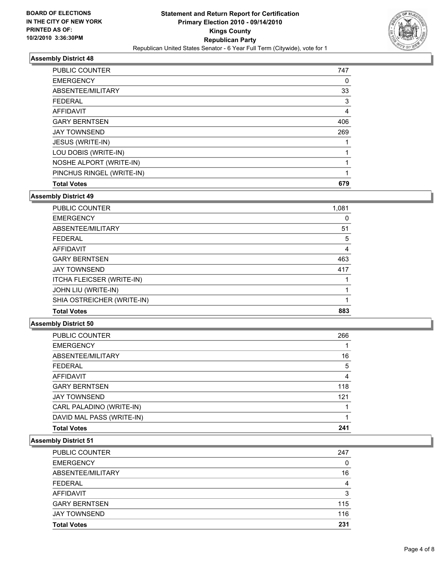

| <b>Total Votes</b>        | 679 |
|---------------------------|-----|
| PINCHUS RINGEL (WRITE-IN) | 1   |
| NOSHE ALPORT (WRITE-IN)   |     |
| LOU DOBIS (WRITE-IN)      |     |
| JESUS (WRITE-IN)          |     |
| <b>JAY TOWNSEND</b>       | 269 |
| <b>GARY BERNTSEN</b>      | 406 |
| AFFIDAVIT                 | 4   |
| <b>FEDERAL</b>            | 3   |
| ABSENTEE/MILITARY         | 33  |
| <b>EMERGENCY</b>          | 0   |
| <b>PUBLIC COUNTER</b>     | 747 |

#### **Assembly District 49**

| <b>PUBLIC COUNTER</b>            | 1,081 |
|----------------------------------|-------|
| <b>EMERGENCY</b>                 | 0     |
| ABSENTEE/MILITARY                | 51    |
| <b>FEDERAL</b>                   | 5     |
| <b>AFFIDAVIT</b>                 | 4     |
| <b>GARY BERNTSEN</b>             | 463   |
| <b>JAY TOWNSEND</b>              | 417   |
| <b>ITCHA FLEICSER (WRITE-IN)</b> |       |
| JOHN LIU (WRITE-IN)              |       |
| SHIA OSTREICHER (WRITE-IN)       |       |
| <b>Total Votes</b>               | 883   |

# **Assembly District 50**

| PUBLIC COUNTER            | 266 |
|---------------------------|-----|
| <b>EMERGENCY</b>          |     |
| ABSENTEE/MILITARY         | 16  |
| <b>FEDERAL</b>            | 5   |
| <b>AFFIDAVIT</b>          | 4   |
| <b>GARY BERNTSEN</b>      | 118 |
| <b>JAY TOWNSEND</b>       | 121 |
| CARL PALADINO (WRITE-IN)  |     |
| DAVID MAL PASS (WRITE-IN) |     |
| <b>Total Votes</b>        | 241 |
|                           |     |

| <b>PUBLIC COUNTER</b> | 247 |
|-----------------------|-----|
| <b>EMERGENCY</b>      | 0   |
| ABSENTEE/MILITARY     | 16  |
| <b>FEDERAL</b>        | 4   |
| <b>AFFIDAVIT</b>      | 3   |
| <b>GARY BERNTSEN</b>  | 115 |
| <b>JAY TOWNSEND</b>   | 116 |
| <b>Total Votes</b>    | 231 |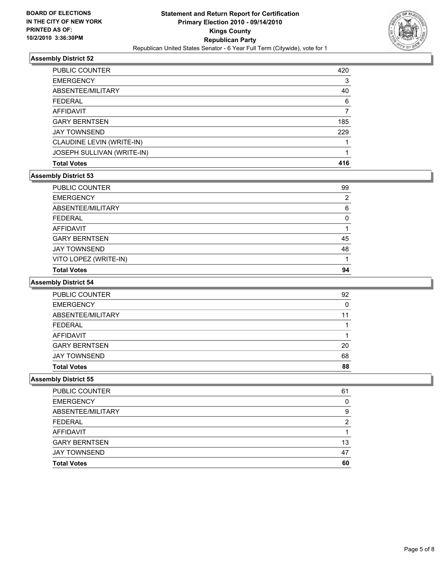

| <b>PUBLIC COUNTER</b>      | 420 |
|----------------------------|-----|
| <b>EMERGENCY</b>           | 3   |
| ABSENTEE/MILITARY          | 40  |
| <b>FEDERAL</b>             | 6   |
| AFFIDAVIT                  |     |
| <b>GARY BERNTSEN</b>       | 185 |
| <b>JAY TOWNSEND</b>        | 229 |
| CLAUDINE LEVIN (WRITE-IN)  |     |
| JOSEPH SULLIVAN (WRITE-IN) |     |
| <b>Total Votes</b>         | 416 |

## **Assembly District 53**

| <b>PUBLIC COUNTER</b> | 99 |
|-----------------------|----|
|                       | 2  |
| <b>EMERGENCY</b>      |    |
| ABSENTEE/MILITARY     | 6  |
| <b>FEDERAL</b>        | 0  |
| AFFIDAVIT             |    |
| <b>GARY BERNTSEN</b>  | 45 |
| <b>JAY TOWNSEND</b>   | 48 |
| VITO LOPEZ (WRITE-IN) |    |
| <b>Total Votes</b>    | 94 |

# **Assembly District 54**

| <b>Total Votes</b>    | 88 |
|-----------------------|----|
| <b>JAY TOWNSEND</b>   | 68 |
| <b>GARY BERNTSEN</b>  | 20 |
| AFFIDAVIT             |    |
| <b>FEDERAL</b>        |    |
| ABSENTEE/MILITARY     | 11 |
| <b>EMERGENCY</b>      | 0  |
| <b>PUBLIC COUNTER</b> | 92 |

| PUBLIC COUNTER       | 61 |
|----------------------|----|
| <b>EMERGENCY</b>     | O  |
| ABSENTEE/MILITARY    | 9  |
| <b>FEDERAL</b>       | ົ  |
| AFFIDAVIT            |    |
| <b>GARY BERNTSEN</b> | 13 |
| <b>JAY TOWNSEND</b>  | 47 |
| <b>Total Votes</b>   | 60 |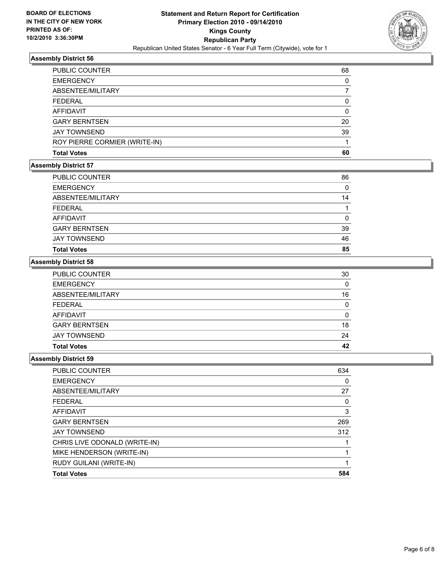

| <b>Total Votes</b>            | 60       |
|-------------------------------|----------|
| ROY PIERRE CORMIER (WRITE-IN) |          |
| <b>JAY TOWNSEND</b>           | 39       |
| <b>GARY BERNTSEN</b>          | 20       |
| <b>AFFIDAVIT</b>              | 0        |
| <b>FEDERAL</b>                | $\Omega$ |
| ABSENTEE/MILITARY             |          |
| <b>EMERGENCY</b>              | 0        |
| PUBLIC COUNTER                | 68       |

### **Assembly District 57**

| <b>Total Votes</b>   | 85 |
|----------------------|----|
| <b>JAY TOWNSEND</b>  | 46 |
| <b>GARY BERNTSEN</b> | 39 |
| <b>AFFIDAVIT</b>     | 0  |
| <b>FEDERAL</b>       |    |
| ABSENTEE/MILITARY    | 14 |
| <b>EMERGENCY</b>     | 0  |
| PUBLIC COUNTER       | 86 |

#### **Assembly District 58**

| <b>Total Votes</b>    | 42 |
|-----------------------|----|
| <b>JAY TOWNSEND</b>   | 24 |
| <b>GARY BERNTSEN</b>  | 18 |
| AFFIDAVIT             | 0  |
| <b>FEDERAL</b>        | 0  |
| ABSENTEE/MILITARY     | 16 |
| <b>EMERGENCY</b>      | 0  |
| <b>PUBLIC COUNTER</b> | 30 |

| <b>PUBLIC COUNTER</b>         | 634 |
|-------------------------------|-----|
| <b>EMERGENCY</b>              | 0   |
| ABSENTEE/MILITARY             | 27  |
| <b>FEDERAL</b>                | 0   |
| <b>AFFIDAVIT</b>              | 3   |
| <b>GARY BERNTSEN</b>          | 269 |
| <b>JAY TOWNSEND</b>           | 312 |
| CHRIS LIVE ODONALD (WRITE-IN) |     |
| MIKE HENDERSON (WRITE-IN)     |     |
| RUDY GUILANI (WRITE-IN)       |     |
| <b>Total Votes</b>            | 584 |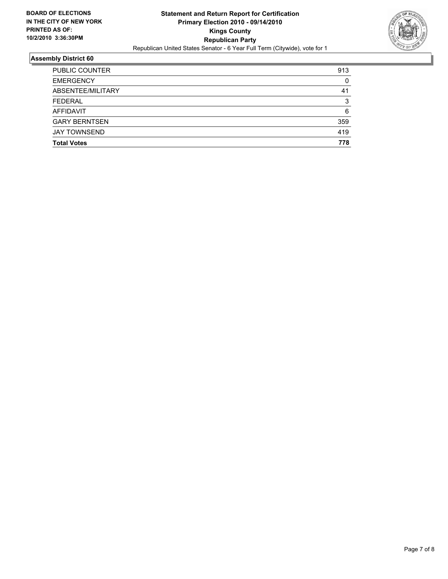

| <b>Total Votes</b>    | 778 |
|-----------------------|-----|
|                       |     |
| <b>JAY TOWNSEND</b>   | 419 |
| <b>GARY BERNTSEN</b>  | 359 |
| <b>AFFIDAVIT</b>      | 6   |
| <b>FEDERAL</b>        | 3   |
| ABSENTEE/MILITARY     | 41  |
| <b>EMERGENCY</b>      | 0   |
| <b>PUBLIC COUNTER</b> | 913 |
|                       |     |